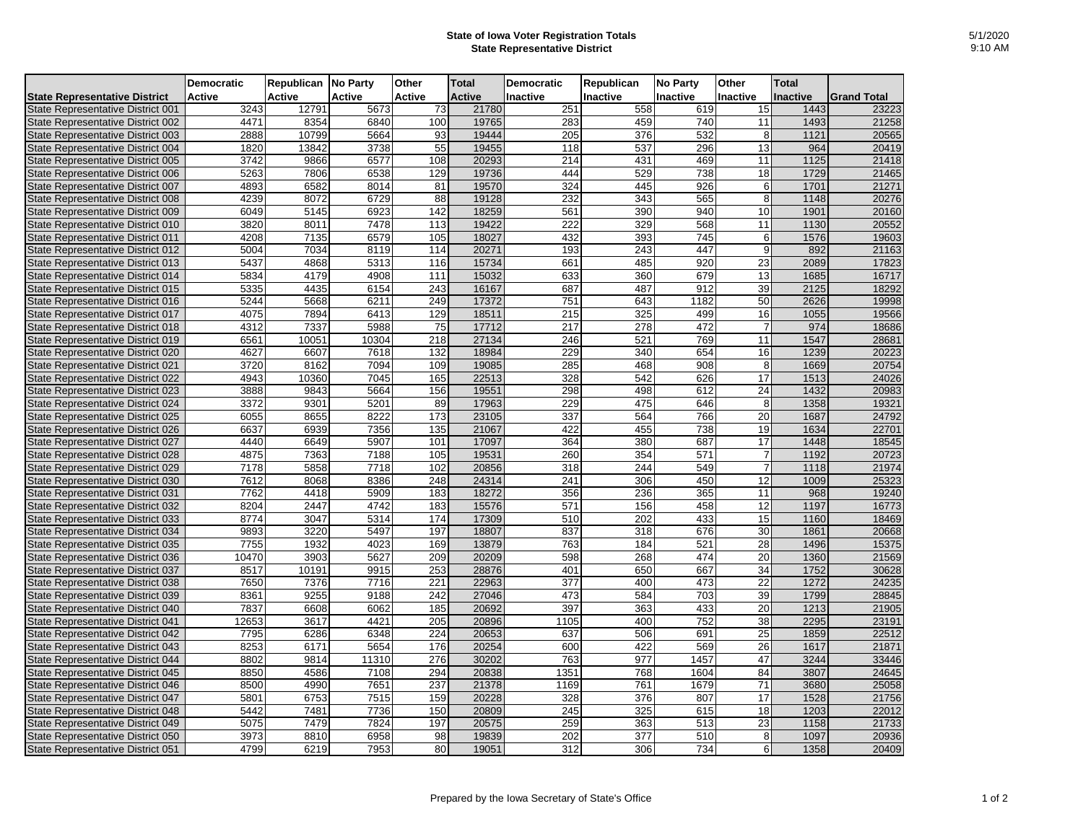## **State of Iowa Voter Registration Totals State Representative District**

|                                      | <b>Democratic</b> | Republican No Party |               | Other  | <b>Total</b>  | <b>Democratic</b> | Republican | <b>No Party</b> | Other           | <b>Total</b> |                    |
|--------------------------------------|-------------------|---------------------|---------------|--------|---------------|-------------------|------------|-----------------|-----------------|--------------|--------------------|
| <b>State Representative District</b> | Active            | Active              | <b>Active</b> | Active | <b>Active</b> | <b>Inactive</b>   | Inactive   | <b>Inactive</b> | <b>Inactive</b> | Inactive     | <b>Grand Total</b> |
| State Representative District 001    | 3243              | 12791               | 5673          | 73     | 21780         | 251               | 558        | 619             | 15              | 1443         | 23223              |
| State Representative District 002    | 4471              | 8354                | 6840          | 100    | 19765         | 283               | 459        | 740             | 11              | 1493         | 21258              |
| State Representative District 003    | 2888              | 10799               | 5664          | 93     | 19444         | 205               | 376        | 532             | 8               | 1121         | 20565              |
| State Representative District 004    | 1820              | 13842               | 3738          | 55     | 19455         | 118               | 537        | 296             | 13              | 964          | 20419              |
| State Representative District 005    | 3742              | 9866                | 6577          | 108    | 20293         | 214               | 431        | 469             | 11              | 1125         | 21418              |
| State Representative District 006    | 5263              | 7806                | 6538          | 129    | 19736         | 444               | 529        | 738             | 18              | 1729         | 21465              |
| State Representative District 007    | 4893              | 6582                | 8014          | 81     | 19570         | 324               | 445        | 926             | 6               | 1701         | 21271              |
| State Representative District 008    | 4239              | 8072                | 6729          | 88     | 19128         | 232               | 343        | 565             | 8               | 1148         | 20276              |
| State Representative District 009    | 6049              | 5145                | 6923          | 142    | 18259         | 561               | 390        | 940             | 10              | 1901         | 20160              |
| State Representative District 010    | 3820              | 8011                | 7478          | 113    | 19422         | 222               | 329        | 568             | 11              | 1130         | 20552              |
| State Representative District 011    | 4208              | 7135                | 6579          | 105    | 18027         | 432               | 393        | 745             | 6               | 1576         | 19603              |
| State Representative District 012    | 5004              | 7034                | 8119          | 114    | 20271         | 193               | 243        | 447             | 9               | 892          | 21163              |
| State Representative District 013    | 5437              | 4868                | 5313          | 116    | 15734         | 661               | 485        | 920             | 23              | 2089         | 17823              |
| State Representative District 014    | 5834              | 4179                | 4908          | 111    | 15032         | 633               | 360        | 679             | 13              | 1685         | 16717              |
| State Representative District 015    | 5335              | 4435                | 6154          | 243    | 16167         | 687               | 487        | 912             | 39              | 2125         | 18292              |
| State Representative District 016    | 5244              | 5668                | 6211          | 249    | 17372         | 751               | 643        | 1182            | 50              | 2626         | 19998              |
| State Representative District 017    | 4075              | 7894                | 6413          | 129    | 18511         | 215               | 325        | 499             | 16              | 1055         | 19566              |
| State Representative District 018    | 4312              | 7337                | 5988          | 75     | 17712         | 217               | 278        | 472             | $\overline{7}$  | 974          | 18686              |
| State Representative District 019    | 6561              | 10051               | 10304         | 218    | 27134         | 246               | 521        | 769             | 11              | 1547         | 28681              |
| State Representative District 020    | 4627              | 6607                | 7618          | 132    | 18984         | 229               | 340        | 654             | 16              | 1239         | 20223              |
| State Representative District 021    | 3720              | 8162                | 7094          | 109    | 19085         | 285               | 468        | 908             | 8               | 1669         | 20754              |
| State Representative District 022    | 4943              | 10360               | 7045          | 165    | 22513         | 328               | 542        | 626             | 17              | 1513         | 24026              |
| State Representative District 023    | 3888              | 9843                | 5664          | 156    | 19551         | 298               | 498        | 612             | $\overline{24}$ | 1432         | 20983              |
| State Representative District 024    | 3372              | 9301                | 5201          | 89     | 17963         | 229               | 475        | 646             | 8               | 1358         | 19321              |
| State Representative District 025    | 6055              | 8655                | 8222          | 173    | 23105         | 337               | 564        | 766             | 20              | 1687         | 24792              |
| State Representative District 026    | 6637              | 6939                | 7356          | 135    | 21067         | 422               | 455        | 738             | 19              | 1634         | 22701              |
| State Representative District 027    | 4440              | 6649                | 5907          | 101    | 17097         | 364               | 380        | 687             | 17              | 1448         | 18545              |
| State Representative District 028    | 4875              | 7363                | 7188          | 105    | 19531         | 260               | 354        | 571             | $\overline{7}$  | 1192         | 20723              |
| State Representative District 029    | 7178              | 5858                | 7718          | 102    | 20856         | 318               | 244        | 549             | $\overline{7}$  | 1118         | 21974              |
| State Representative District 030    | 7612              | 8068                | 8386          | 248    | 24314         | 241               | 306        | 450             | 12              | 1009         | 25323              |
| State Representative District 031    | 7762              | 4418                | 5909          | 183    | 18272         | 356               | 236        | 365             | 11              | 968          | 19240              |
| State Representative District 032    | 8204              | 2447                | 4742          | 183    | 15576         | 571               | 156        | 458             | 12              | 1197         | 16773              |
| State Representative District 033    | 8774              | 3047                | 5314          | 174    | 17309         | 510               | 202        | 433             | 15              | 1160         | 18469              |
| State Representative District 034    | 9893              | 3220                | 5497          | 197    | 18807         | 837               | 318        | 676             | 30              | 1861         | 20668              |
| State Representative District 035    | 7755              | 1932                | 4023          | 169    | 13879         | 763               | 184        | 521             | 28              | 1496         | 15375              |
| State Representative District 036    | 10470             | 3903                | 5627          | 209    | 20209         | 598               | 268        | 474             | 20              | 1360         | 21569              |
| State Representative District 037    | 8517              | 10191               | 9915          | 253    | 28876         | 401               | 650        | 667             | 34              | 1752         | 30628              |
| State Representative District 038    | 7650              | 7376                | 7716          | 221    | 22963         | 377               | 400        | 473             | $\overline{22}$ | 1272         | 24235              |
| State Representative District 039    | 8361              | 9255                | 9188          | 242    | 27046         | 473               | 584        | 703             | 39              | 1799         | 28845              |
| State Representative District 040    | 7837              | 6608                | 6062          | 185    | 20692         | 397               | 363        | 433             | 20              | 1213         | 21905              |
| State Representative District 041    | 12653             | 3617                | 4421          | 205    | 20896         | 1105              | 400        | 752             | 38              | 2295         | 23191              |
| State Representative District 042    | 7795              | 6286                | 6348          | 224    | 20653         | 637               | 506        | 691             | 25              | 1859         | 22512              |
| State Representative District 043    | 8253              | 6171                | 5654          | 176    | 20254         | 600               | 422        | 569             | 26              | 1617         | 21871              |
| State Representative District 044    | 8802              | 9814                | 11310         | 276    | 30202         | 763               | 977        | 1457            | 47              | 3244         | 33446              |
| State Representative District 045    | 8850              | 4586                | 7108          | 294    | 20838         | 1351              | 768        | 1604            | 84              | 3807         | 24645              |
| State Representative District 046    | 8500              | 4990                | 7651          | 237    | 21378         | 1169              | 761        | 1679            | 71              | 3680         | 25058              |
| State Representative District 047    | 5801              | 6753                | 7515          | 159    | 20228         | 328               | 376        | 807             | 17              | 1528         | 21756              |
| State Representative District 048    | 5442              | 7481                | 7736          | 150    | 20809         | 245               | 325        | 615             | 18              | 1203         | 22012              |
| State Representative District 049    | 5075              | 7479                | 7824          | 197    | 20575         | 259               | 363        | 513             | 23              | 1158         | 21733              |
| State Representative District 050    | 3973              | 8810                | 6958          | 98     | 19839         | 202               | 377        | 510             | 8               | 1097         | 20936              |
| State Representative District 051    | 4799              | 6219                | 7953          | 80     | 19051         | 312               | 306        | 734             | 6               | 1358         | 20409              |